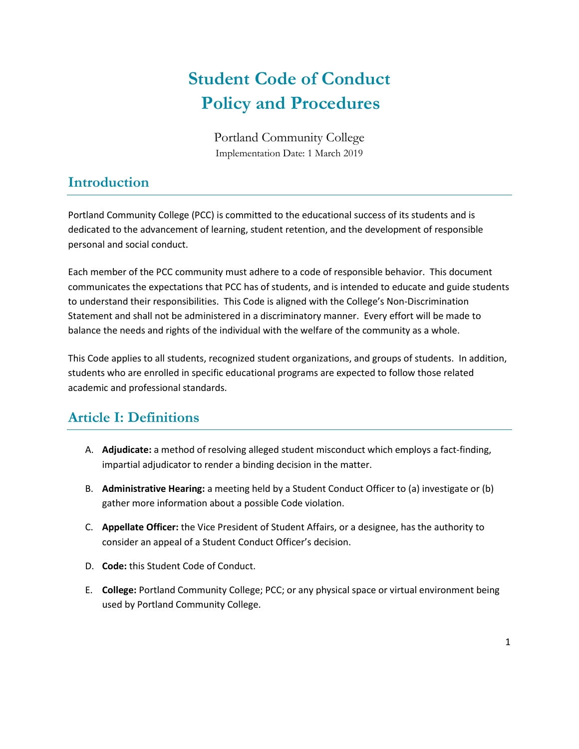# **Student Code of Conduct Policy and Procedures**

Portland Community College Implementation Date: 1 March 2019

# **Introduction**

Portland Community College (PCC) is committed to the educational success of its students and is dedicated to the advancement of learning, student retention, and the development of responsible personal and social conduct.

Each member of the PCC community must adhere to a code of responsible behavior. This document communicates the expectations that PCC has of students, and is intended to educate and guide students to understand their responsibilities. This Code is aligned with the College's Non-Discrimination Statement and shall not be administered in a discriminatory manner. Every effort will be made to balance the needs and rights of the individual with the welfare of the community as a whole.

This Code applies to all students, recognized student organizations, and groups of students. In addition, students who are enrolled in specific educational programs are expected to follow those related academic and professional standards.

# **Article I: Definitions**

- A. **Adjudicate:** a method of resolving alleged student misconduct which employs a fact-finding, impartial adjudicator to render a binding decision in the matter.
- B. **Administrative Hearing:** a meeting held by a Student Conduct Officer to (a) investigate or (b) gather more information about a possible Code violation.
- C. **Appellate Officer:** the Vice President of Student Affairs, or a designee, has the authority to consider an appeal of a Student Conduct Officer's decision.
- D. **Code:** this Student Code of Conduct.
- E. **College:** Portland Community College; PCC; or any physical space or virtual environment being used by Portland Community College.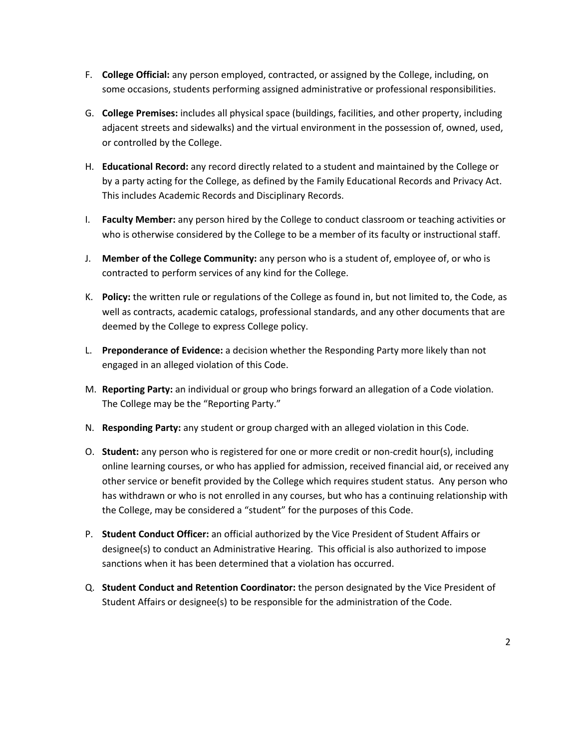- F. **College Official:** any person employed, contracted, or assigned by the College, including, on some occasions, students performing assigned administrative or professional responsibilities.
- G. **College Premises:** includes all physical space (buildings, facilities, and other property, including adjacent streets and sidewalks) and the virtual environment in the possession of, owned, used, or controlled by the College.
- H. **Educational Record:** any record directly related to a student and maintained by the College or by a party acting for the College, as defined by the Family Educational Records and Privacy Act. This includes Academic Records and Disciplinary Records.
- I. **Faculty Member:** any person hired by the College to conduct classroom or teaching activities or who is otherwise considered by the College to be a member of its faculty or instructional staff.
- J. **Member of the College Community:** any person who is a student of, employee of, or who is contracted to perform services of any kind for the College.
- K. **Policy:** the written rule or regulations of the College as found in, but not limited to, the Code, as well as contracts, academic catalogs, professional standards, and any other documents that are deemed by the College to express College policy.
- L. **Preponderance of Evidence:** a decision whether the Responding Party more likely than not engaged in an alleged violation of this Code.
- M. **Reporting Party:** an individual or group who brings forward an allegation of a Code violation. The College may be the "Reporting Party."
- N. **Responding Party:** any student or group charged with an alleged violation in this Code.
- O. **Student:** any person who is registered for one or more credit or non-credit hour(s), including online learning courses, or who has applied for admission, received financial aid, or received any other service or benefit provided by the College which requires student status. Any person who has withdrawn or who is not enrolled in any courses, but who has a continuing relationship with the College, may be considered a "student" for the purposes of this Code.
- P. **Student Conduct Officer:** an official authorized by the Vice President of Student Affairs or designee(s) to conduct an Administrative Hearing. This official is also authorized to impose sanctions when it has been determined that a violation has occurred.
- Q. **Student Conduct and Retention Coordinator:** the person designated by the Vice President of Student Affairs or designee(s) to be responsible for the administration of the Code.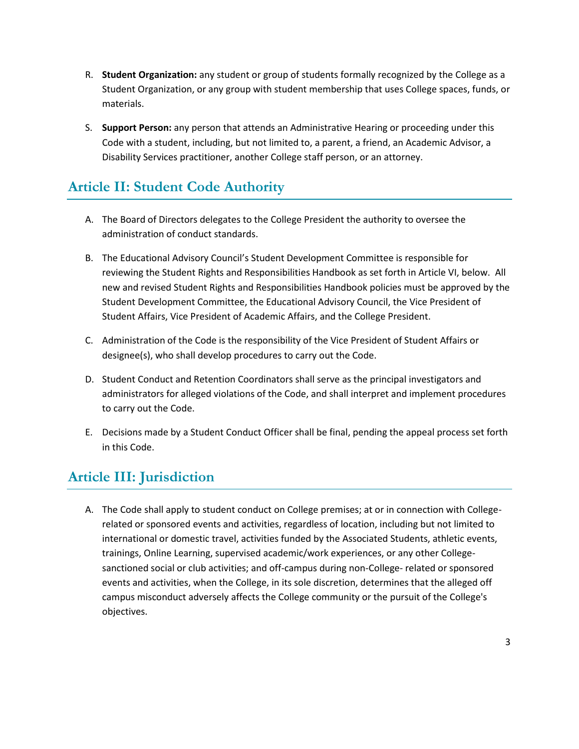- R. **Student Organization:** any student or group of students formally recognized by the College as a Student Organization, or any group with student membership that uses College spaces, funds, or materials.
- S. **Support Person:** any person that attends an Administrative Hearing or proceeding under this Code with a student, including, but not limited to, a parent, a friend, an Academic Advisor, a Disability Services practitioner, another College staff person, or an attorney.

# **Article II: Student Code Authority**

- A. The Board of Directors delegates to the College President the authority to oversee the administration of conduct standards.
- B. The Educational Advisory Council's Student Development Committee is responsible for reviewing the Student Rights and Responsibilities Handbook as set forth in Article VI, below. All new and revised Student Rights and Responsibilities Handbook policies must be approved by the Student Development Committee, the Educational Advisory Council, the Vice President of Student Affairs, Vice President of Academic Affairs, and the College President.
- C. Administration of the Code is the responsibility of the Vice President of Student Affairs or designee(s), who shall develop procedures to carry out the Code.
- D. Student Conduct and Retention Coordinators shall serve as the principal investigators and administrators for alleged violations of the Code, and shall interpret and implement procedures to carry out the Code.
- E. Decisions made by a Student Conduct Officer shall be final, pending the appeal process set forth in this Code.

# **Article III: Jurisdiction**

A. The Code shall apply to student conduct on College premises; at or in connection with Collegerelated or sponsored events and activities, regardless of location, including but not limited to international or domestic travel, activities funded by the Associated Students, athletic events, trainings, Online Learning, supervised academic/work experiences, or any other Collegesanctioned social or club activities; and off-campus during non-College- related or sponsored events and activities, when the College, in its sole discretion, determines that the alleged off campus misconduct adversely affects the College community or the pursuit of the College's objectives.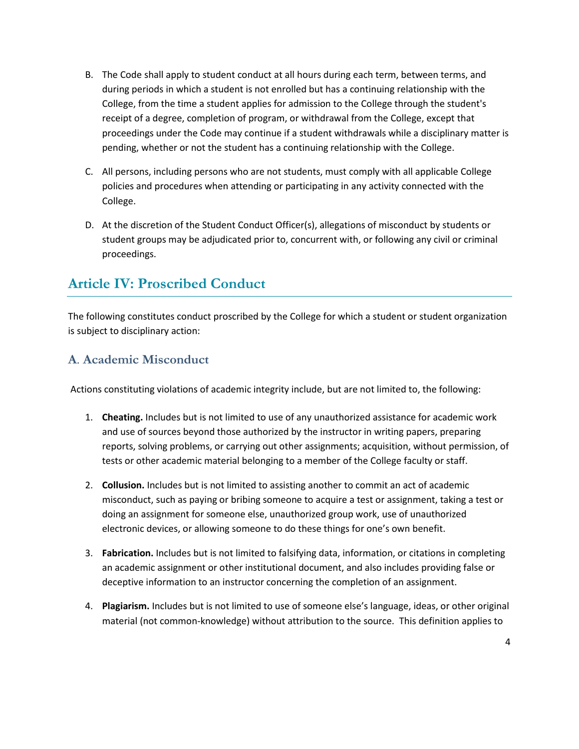- B. The Code shall apply to student conduct at all hours during each term, between terms, and during periods in which a student is not enrolled but has a continuing relationship with the College, from the time a student applies for admission to the College through the student's receipt of a degree, completion of program, or withdrawal from the College, except that proceedings under the Code may continue if a student withdrawals while a disciplinary matter is pending, whether or not the student has a continuing relationship with the College.
- C. All persons, including persons who are not students, must comply with all applicable College policies and procedures when attending or participating in any activity connected with the College.
- D. At the discretion of the Student Conduct Officer(s), allegations of misconduct by students or student groups may be adjudicated prior to, concurrent with, or following any civil or criminal proceedings.

# **Article IV: Proscribed Conduct**

The following constitutes conduct proscribed by the College for which a student or student organization is subject to disciplinary action:

#### **A**. **Academic Misconduct**

Actions constituting violations of academic integrity include, but are not limited to, the following:

- 1. **Cheating.** Includes but is not limited to use of any unauthorized assistance for academic work and use of sources beyond those authorized by the instructor in writing papers, preparing reports, solving problems, or carrying out other assignments; acquisition, without permission, of tests or other academic material belonging to a member of the College faculty or staff.
- 2. **Collusion.** Includes but is not limited to assisting another to commit an act of academic misconduct, such as paying or bribing someone to acquire a test or assignment, taking a test or doing an assignment for someone else, unauthorized group work, use of unauthorized electronic devices, or allowing someone to do these things for one's own benefit.
- 3. **Fabrication.** Includes but is not limited to falsifying data, information, or citations in completing an academic assignment or other institutional document, and also includes providing false or deceptive information to an instructor concerning the completion of an assignment.
- 4. **Plagiarism.** Includes but is not limited to use of someone else's language, ideas, or other original material (not common-knowledge) without attribution to the source. This definition applies to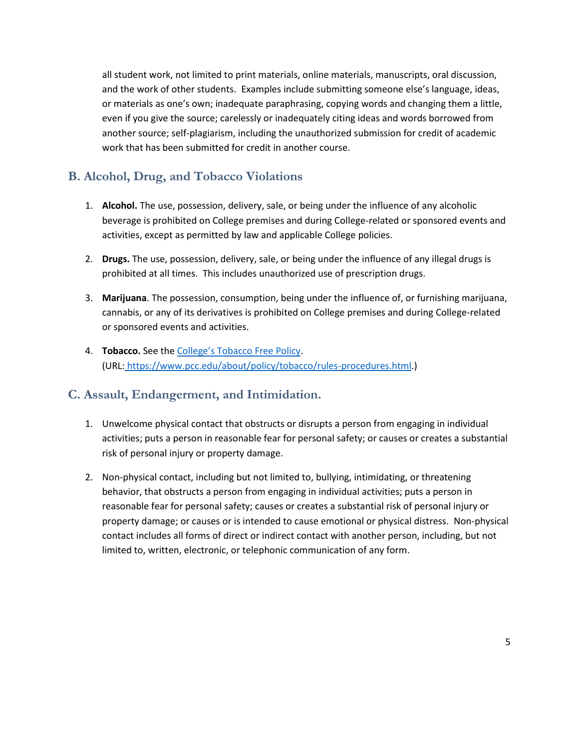all student work, not limited to print materials, online materials, manuscripts, oral discussion, and the work of other students. Examples include submitting someone else's language, ideas, or materials as one's own; inadequate paraphrasing, copying words and changing them a little, even if you give the source; carelessly or inadequately citing ideas and words borrowed from another source; self-plagiarism, including the unauthorized submission for credit of academic work that has been submitted for credit in another course.

### **B. Alcohol, Drug, and Tobacco Violations**

- 1. **Alcohol.** The use, possession, delivery, sale, or being under the influence of any alcoholic beverage is prohibited on College premises and during College-related or sponsored events and activities, except as permitted by law and applicable College policies.
- 2. **Drugs.** The use, possession, delivery, sale, or being under the influence of any illegal drugs is prohibited at all times. This includes unauthorized use of prescription drugs.
- 3. **Marijuana**. The possession, consumption, being under the influence of, or furnishing marijuana, cannabis, or any of its derivatives is prohibited on College premises and during College-related or sponsored events and activities.
- 4. **Tobacco.** See the [College's Tobacco Free Policy](https://www.pcc.edu/about/policy/tobacco/rules-procedures.html). (URL: [https://www.pcc.edu/about/policy/tobacco/rules-procedures.html.](https://www.pcc.edu/about/policy/tobacco/rules-procedures.html))

#### **C. Assault, Endangerment, and Intimidation.**

- 1. Unwelcome physical contact that obstructs or disrupts a person from engaging in individual activities; puts a person in reasonable fear for personal safety; or causes or creates a substantial risk of personal injury or property damage.
- 2. Non-physical contact, including but not limited to, bullying, intimidating, or threatening behavior, that obstructs a person from engaging in individual activities; puts a person in reasonable fear for personal safety; causes or creates a substantial risk of personal injury or property damage; or causes or is intended to cause emotional or physical distress. Non-physical contact includes all forms of direct or indirect contact with another person, including, but not limited to, written, electronic, or telephonic communication of any form.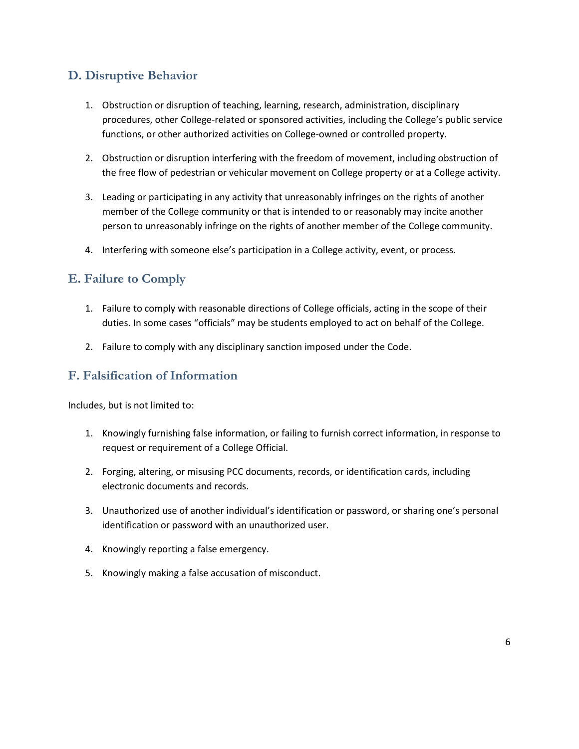# **D. Disruptive Behavior**

- 1. Obstruction or disruption of teaching, learning, research, administration, disciplinary procedures, other College-related or sponsored activities, including the College's public service functions, or other authorized activities on College-owned or controlled property.
- 2. Obstruction or disruption interfering with the freedom of movement, including obstruction of the free flow of pedestrian or vehicular movement on College property or at a College activity.
- 3. Leading or participating in any activity that unreasonably infringes on the rights of another member of the College community or that is intended to or reasonably may incite another person to unreasonably infringe on the rights of another member of the College community.
- 4. Interfering with someone else's participation in a College activity, event, or process.

## **E. Failure to Comply**

- 1. Failure to comply with reasonable directions of College officials, acting in the scope of their duties. In some cases "officials" may be students employed to act on behalf of the College.
- 2. Failure to comply with any disciplinary sanction imposed under the Code.

#### **F. Falsification of Information**

Includes, but is not limited to:

- 1. Knowingly furnishing false information, or failing to furnish correct information, in response to request or requirement of a College Official.
- 2. Forging, altering, or misusing PCC documents, records, or identification cards, including electronic documents and records.
- 3. Unauthorized use of another individual's identification or password, or sharing one's personal identification or password with an unauthorized user.
- 4. Knowingly reporting a false emergency.
- 5. Knowingly making a false accusation of misconduct.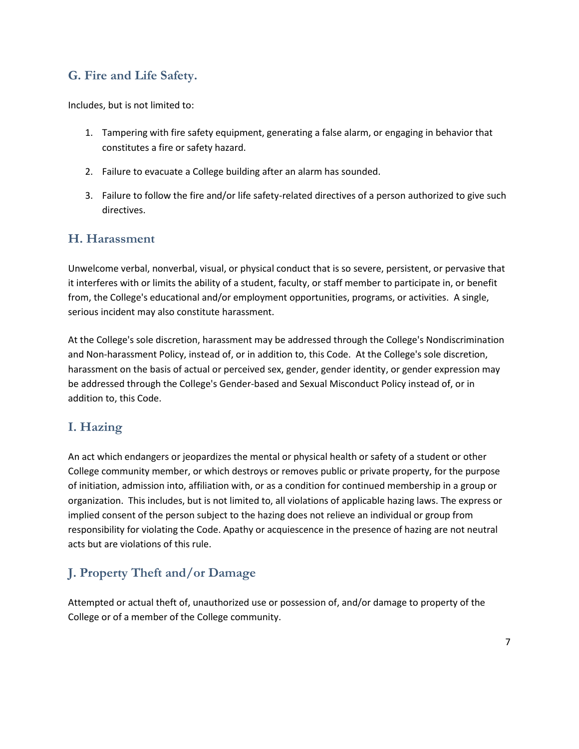### **G. Fire and Life Safety.**

Includes, but is not limited to:

- 1. Tampering with fire safety equipment, generating a false alarm, or engaging in behavior that constitutes a fire or safety hazard.
- 2. Failure to evacuate a College building after an alarm has sounded.
- 3. Failure to follow the fire and/or life safety-related directives of a person authorized to give such directives.

#### **H. Harassment**

Unwelcome verbal, nonverbal, visual, or physical conduct that is so severe, persistent, or pervasive that it interferes with or limits the ability of a student, faculty, or staff member to participate in, or benefit from, the College's educational and/or employment opportunities, programs, or activities. A single, serious incident may also constitute harassment.

At the College's sole discretion, harassment may be addressed through the College's Nondiscrimination and Non-harassment Policy, instead of, or in addition to, this Code. At the College's sole discretion, harassment on the basis of actual or perceived sex, gender, gender identity, or gender expression may be addressed through the College's Gender-based and Sexual Misconduct Policy instead of, or in addition to, this Code.

### **I. Hazing**

An act which endangers or jeopardizes the mental or physical health or safety of a student or other College community member, or which destroys or removes public or private property, for the purpose of initiation, admission into, affiliation with, or as a condition for continued membership in a group or organization. This includes, but is not limited to, all violations of applicable hazing laws. The express or implied consent of the person subject to the hazing does not relieve an individual or group from responsibility for violating the Code. Apathy or acquiescence in the presence of hazing are not neutral acts but are violations of this rule.

# **J. Property Theft and/or Damage**

Attempted or actual theft of, unauthorized use or possession of, and/or damage to property of the College or of a member of the College community.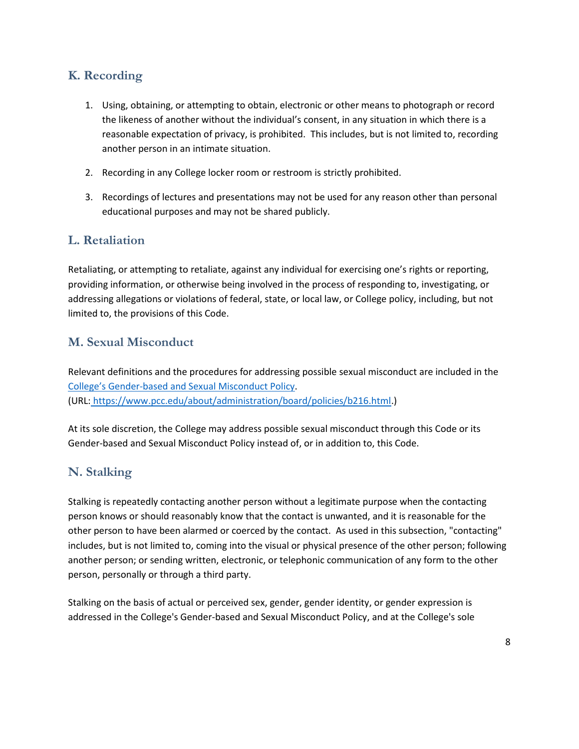### **K. Recording**

- 1. Using, obtaining, or attempting to obtain, electronic or other means to photograph or record the likeness of another without the individual's consent, in any situation in which there is a reasonable expectation of privacy, is prohibited. This includes, but is not limited to, recording another person in an intimate situation.
- 2. Recording in any College locker room or restroom is strictly prohibited.
- 3. Recordings of lectures and presentations may not be used for any reason other than personal educational purposes and may not be shared publicly.

#### **L. Retaliation**

Retaliating, or attempting to retaliate, against any individual for exercising one's rights or reporting, providing information, or otherwise being involved in the process of responding to, investigating, or addressing allegations or violations of federal, state, or local law, or College policy, including, but not limited to, the provisions of this Code.

#### **M. Sexual Misconduct**

Relevant definitions and the procedures for addressing possible sexual misconduct are included in the College's Gender[-based and Sexual Misconduct Policy.](https://www.pcc.edu/about/administration/board/policies/b216.html) (URL: [https://www.pcc.edu/about/administration/board/policies/b216.html.](https://www.pcc.edu/about/administration/board/policies/b216.html))

At its sole discretion, the College may address possible sexual misconduct through this Code or its Gender-based and Sexual Misconduct Policy instead of, or in addition to, this Code.

### **N. Stalking**

Stalking is repeatedly contacting another person without a legitimate purpose when the contacting person knows or should reasonably know that the contact is unwanted, and it is reasonable for the other person to have been alarmed or coerced by the contact. As used in this subsection, "contacting" includes, but is not limited to, coming into the visual or physical presence of the other person; following another person; or sending written, electronic, or telephonic communication of any form to the other person, personally or through a third party.

Stalking on the basis of actual or perceived sex, gender, gender identity, or gender expression is addressed in the College's Gender-based and Sexual Misconduct Policy, and at the College's sole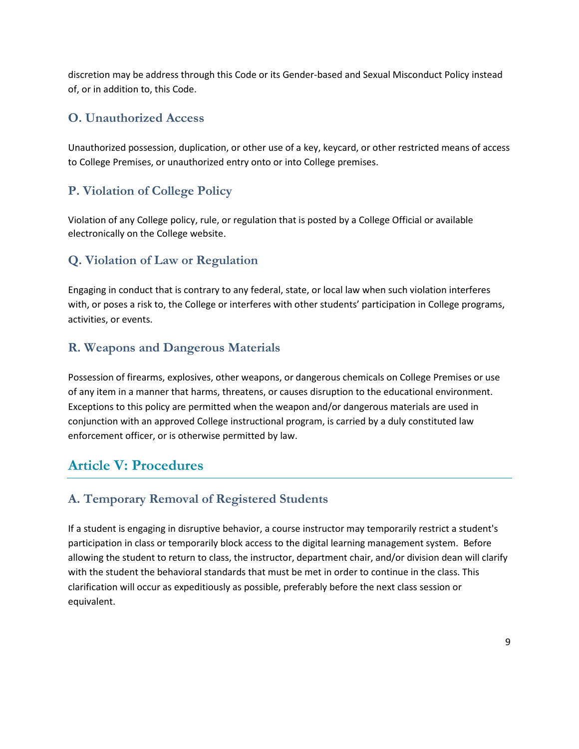discretion may be address through this Code or its Gender-based and Sexual Misconduct Policy instead of, or in addition to, this Code.

### **O. Unauthorized Access**

Unauthorized possession, duplication, or other use of a key, keycard, or other restricted means of access to College Premises, or unauthorized entry onto or into College premises.

## **P. Violation of College Policy**

Violation of any College policy, rule, or regulation that is posted by a College Official or available electronically on the College website.

## **Q. Violation of Law or Regulation**

Engaging in conduct that is contrary to any federal, state, or local law when such violation interferes with, or poses a risk to, the College or interferes with other students' participation in College programs, activities, or events.

#### **R. Weapons and Dangerous Materials**

Possession of firearms, explosives, other weapons, or dangerous chemicals on College Premises or use of any item in a manner that harms, threatens, or causes disruption to the educational environment. Exceptions to this policy are permitted when the weapon and/or dangerous materials are used in conjunction with an approved College instructional program, is carried by a duly constituted law enforcement officer, or is otherwise permitted by law.

# **Article V: Procedures**

### **A. Temporary Removal of Registered Students**

If a student is engaging in disruptive behavior, a course instructor may temporarily restrict a student's participation in class or temporarily block access to the digital learning management system. Before allowing the student to return to class, the instructor, department chair, and/or division dean will clarify with the student the behavioral standards that must be met in order to continue in the class. This clarification will occur as expeditiously as possible, preferably before the next class session or equivalent.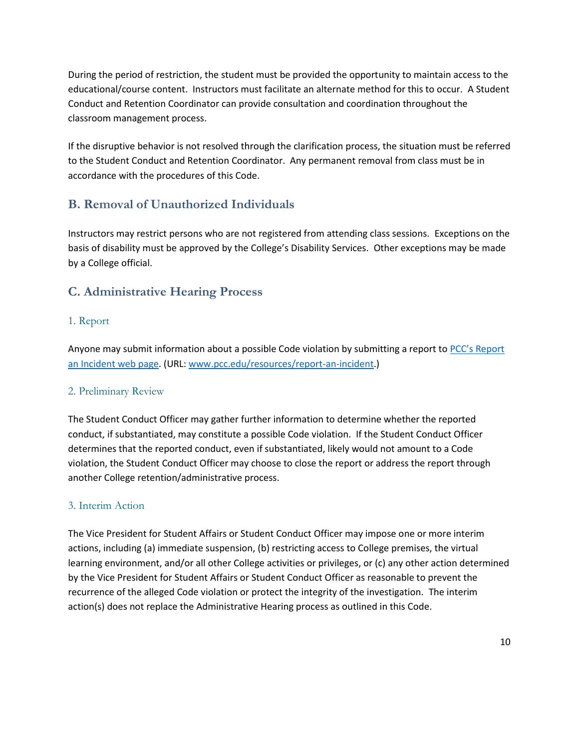During the period of restriction, the student must be provided the opportunity to maintain access to the educational/course content. Instructors must facilitate an alternate method for this to occur. A Student Conduct and Retention Coordinator can provide consultation and coordination throughout the classroom management process.

If the disruptive behavior is not resolved through the clarification process, the situation must be referred to the Student Conduct and Retention Coordinator. Any permanent removal from class must be in accordance with the procedures of this Code.

## **B. Removal of Unauthorized Individuals**

Instructors may restrict persons who are not registered from attending class sessions. Exceptions on the basis of disability must be approved by the College's Disability Services. Other exceptions may be made by a College official.

## **C. Administrative Hearing Process**

#### 1. Report

Anyone may submit information about a possible Code violation by submitting a report to PCC's Report [an Incident web page.](http://www.pcc.edu/resources/report-an-incident) (URL[: www.pcc.edu/resources/report-an-incident.](http://www.pcc.edu/resources/report-an-incident))

#### 2. Preliminary Review

The Student Conduct Officer may gather further information to determine whether the reported conduct, if substantiated, may constitute a possible Code violation. If the Student Conduct Officer determines that the reported conduct, even if substantiated, likely would not amount to a Code violation, the Student Conduct Officer may choose to close the report or address the report through another College retention/administrative process.

#### 3. Interim Action

The Vice President for Student Affairs or Student Conduct Officer may impose one or more interim actions, including (a) immediate suspension, (b) restricting access to College premises, the virtual learning environment, and/or all other College activities or privileges, or (c) any other action determined by the Vice President for Student Affairs or Student Conduct Officer as reasonable to prevent the recurrence of the alleged Code violation or protect the integrity of the investigation. The interim action(s) does not replace the Administrative Hearing process as outlined in this Code.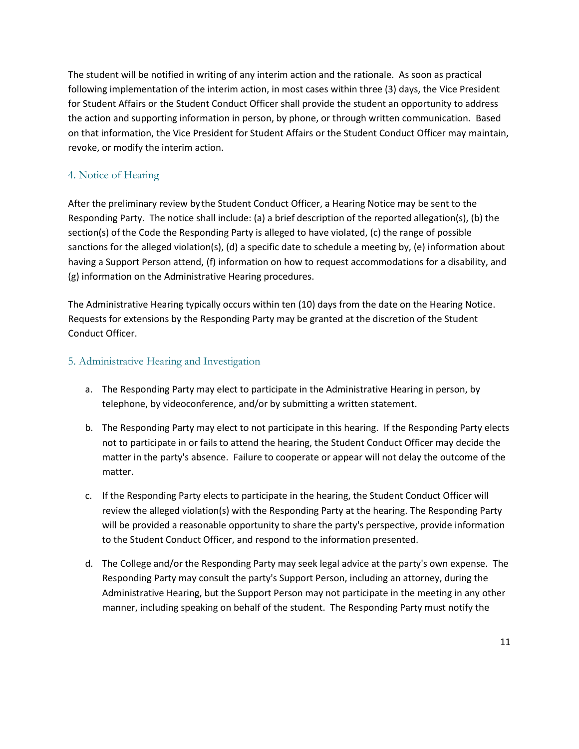The student will be notified in writing of any interim action and the rationale. As soon as practical following implementation of the interim action, in most cases within three (3) days, the Vice President for Student Affairs or the Student Conduct Officer shall provide the student an opportunity to address the action and supporting information in person, by phone, or through written communication. Based on that information, the Vice President for Student Affairs or the Student Conduct Officer may maintain, revoke, or modify the interim action.

#### 4. Notice of Hearing

After the preliminary review bythe Student Conduct Officer, a Hearing Notice may be sent to the Responding Party. The notice shall include: (a) a brief description of the reported allegation(s), (b) the section(s) of the Code the Responding Party is alleged to have violated, (c) the range of possible sanctions for the alleged violation(s), (d) a specific date to schedule a meeting by, (e) information about having a Support Person attend, (f) information on how to request accommodations for a disability, and (g) information on the Administrative Hearing procedures.

The Administrative Hearing typically occurs within ten (10) days from the date on the Hearing Notice. Requests for extensions by the Responding Party may be granted at the discretion of the Student Conduct Officer.

#### 5. Administrative Hearing and Investigation

- a. The Responding Party may elect to participate in the Administrative Hearing in person, by telephone, by videoconference, and/or by submitting a written statement.
- b. The Responding Party may elect to not participate in this hearing. If the Responding Party elects not to participate in or fails to attend the hearing, the Student Conduct Officer may decide the matter in the party's absence. Failure to cooperate or appear will not delay the outcome of the matter.
- c. If the Responding Party elects to participate in the hearing, the Student Conduct Officer will review the alleged violation(s) with the Responding Party at the hearing. The Responding Party will be provided a reasonable opportunity to share the party's perspective, provide information to the Student Conduct Officer, and respond to the information presented.
- d. The College and/or the Responding Party may seek legal advice at the party's own expense. The Responding Party may consult the party's Support Person, including an attorney, during the Administrative Hearing, but the Support Person may not participate in the meeting in any other manner, including speaking on behalf of the student. The Responding Party must notify the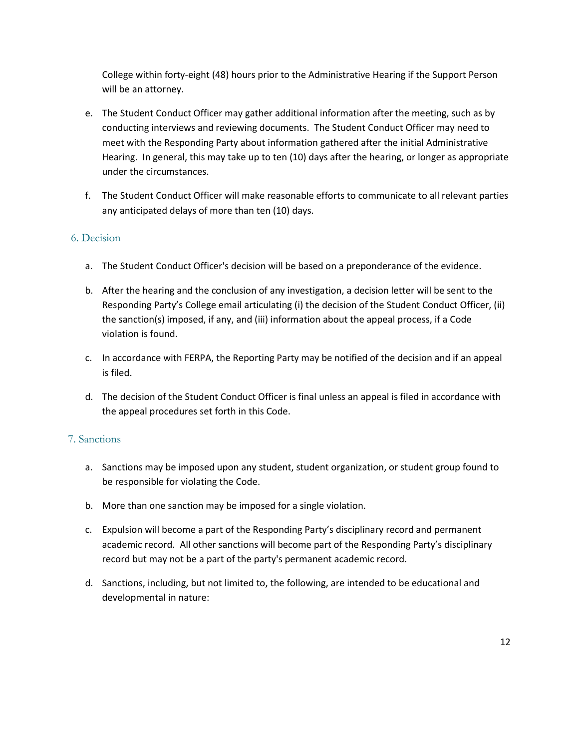College within forty-eight (48) hours prior to the Administrative Hearing if the Support Person will be an attorney.

- e. The Student Conduct Officer may gather additional information after the meeting, such as by conducting interviews and reviewing documents. The Student Conduct Officer may need to meet with the Responding Party about information gathered after the initial Administrative Hearing. In general, this may take up to ten (10) days after the hearing, or longer as appropriate under the circumstances.
- f. The Student Conduct Officer will make reasonable efforts to communicate to all relevant parties any anticipated delays of more than ten (10) days.

#### 6. Decision

- a. The Student Conduct Officer's decision will be based on a preponderance of the evidence.
- b. After the hearing and the conclusion of any investigation, a decision letter will be sent to the Responding Party's College email articulating (i) the decision of the Student Conduct Officer, (ii) the sanction(s) imposed, if any, and (iii) information about the appeal process, if a Code violation is found.
- c. In accordance with FERPA, the Reporting Party may be notified of the decision and if an appeal is filed.
- d. The decision of the Student Conduct Officer is final unless an appeal is filed in accordance with the appeal procedures set forth in this Code.

#### 7. Sanctions

- a. Sanctions may be imposed upon any student, student organization, or student group found to be responsible for violating the Code.
- b. More than one sanction may be imposed for a single violation.
- c. Expulsion will become a part of the Responding Party's disciplinary record and permanent academic record. All other sanctions will become part of the Responding Party's disciplinary record but may not be a part of the party's permanent academic record.
- d. Sanctions, including, but not limited to, the following, are intended to be educational and developmental in nature: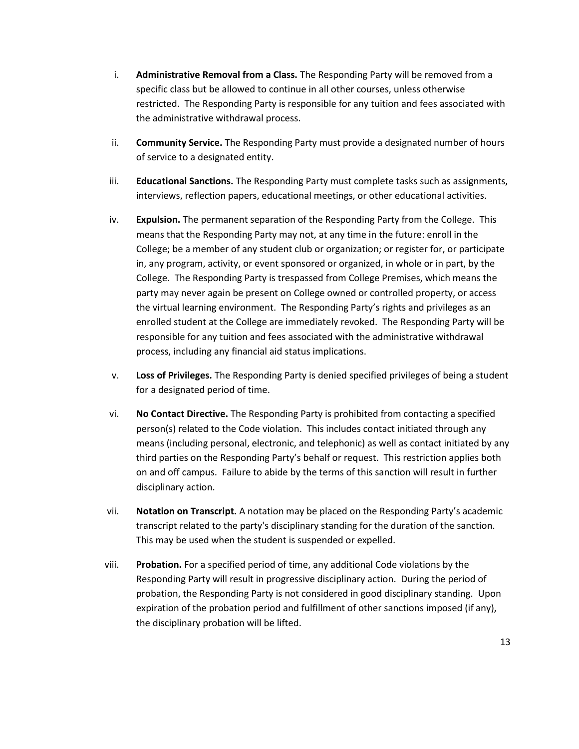- i. **Administrative Removal from a Class.** The Responding Party will be removed from a specific class but be allowed to continue in all other courses, unless otherwise restricted. The Responding Party is responsible for any tuition and fees associated with the administrative withdrawal process.
- ii. **Community Service.** The Responding Party must provide a designated number of hours of service to a designated entity.
- iii. **Educational Sanctions.** The Responding Party must complete tasks such as assignments, interviews, reflection papers, educational meetings, or other educational activities.
- iv. **Expulsion.** The permanent separation of the Responding Party from the College. This means that the Responding Party may not, at any time in the future: enroll in the College; be a member of any student club or organization; or register for, or participate in, any program, activity, or event sponsored or organized, in whole or in part, by the College. The Responding Party is trespassed from College Premises, which means the party may never again be present on College owned or controlled property, or access the virtual learning environment. The Responding Party's rights and privileges as an enrolled student at the College are immediately revoked. The Responding Party will be responsible for any tuition and fees associated with the administrative withdrawal process, including any financial aid status implications.
- v. **Loss of Privileges.** The Responding Party is denied specified privileges of being a student for a designated period of time.
- vi. **No Contact Directive.** The Responding Party is prohibited from contacting a specified person(s) related to the Code violation. This includes contact initiated through any means (including personal, electronic, and telephonic) as well as contact initiated by any third parties on the Responding Party's behalf or request. This restriction applies both on and off campus. Failure to abide by the terms of this sanction will result in further disciplinary action.
- vii. **Notation on Transcript.** A notation may be placed on the Responding Party's academic transcript related to the party's disciplinary standing for the duration of the sanction. This may be used when the student is suspended or expelled.
- viii. **Probation.** For a specified period of time, any additional Code violations by the Responding Party will result in progressive disciplinary action. During the period of probation, the Responding Party is not considered in good disciplinary standing. Upon expiration of the probation period and fulfillment of other sanctions imposed (if any), the disciplinary probation will be lifted.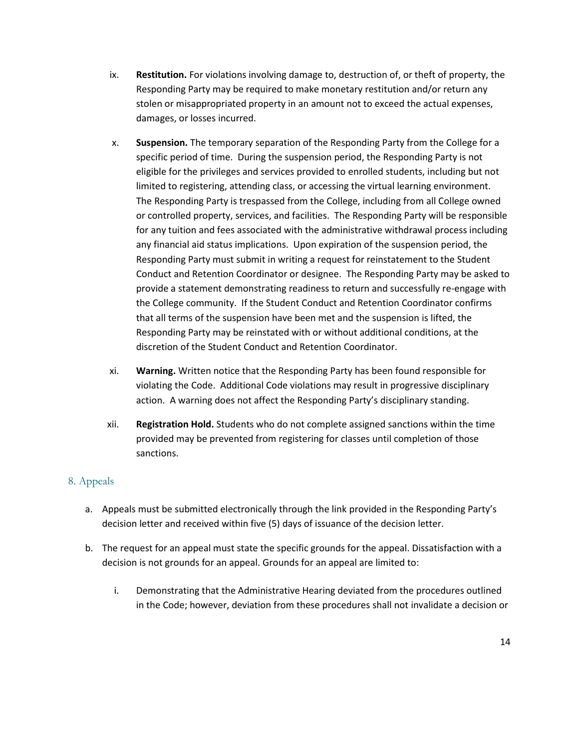- ix. **Restitution.** For violations involving damage to, destruction of, or theft of property, the Responding Party may be required to make monetary restitution and/or return any stolen or misappropriated property in an amount not to exceed the actual expenses, damages, or losses incurred.
- x. **Suspension.** The temporary separation of the Responding Party from the College for a specific period of time. During the suspension period, the Responding Party is not eligible for the privileges and services provided to enrolled students, including but not limited to registering, attending class, or accessing the virtual learning environment. The Responding Party is trespassed from the College, including from all College owned or controlled property, services, and facilities. The Responding Party will be responsible for any tuition and fees associated with the administrative withdrawal process including any financial aid status implications. Upon expiration of the suspension period, the Responding Party must submit in writing a request for reinstatement to the Student Conduct and Retention Coordinator or designee. The Responding Party may be asked to provide a statement demonstrating readiness to return and successfully re-engage with the College community. If the Student Conduct and Retention Coordinator confirms that all terms of the suspension have been met and the suspension is lifted, the Responding Party may be reinstated with or without additional conditions, at the discretion of the Student Conduct and Retention Coordinator.
- xi. **Warning.** Written notice that the Responding Party has been found responsible for violating the Code. Additional Code violations may result in progressive disciplinary action. A warning does not affect the Responding Party's disciplinary standing.
- xii. **Registration Hold.** Students who do not complete assigned sanctions within the time provided may be prevented from registering for classes until completion of those sanctions.

#### 8. Appeals

- a. Appeals must be submitted electronically through the link provided in the Responding Party's decision letter and received within five (5) days of issuance of the decision letter.
- b. The request for an appeal must state the specific grounds for the appeal. Dissatisfaction with a decision is not grounds for an appeal. Grounds for an appeal are limited to:
	- i. Demonstrating that the Administrative Hearing deviated from the procedures outlined in the Code; however, deviation from these procedures shall not invalidate a decision or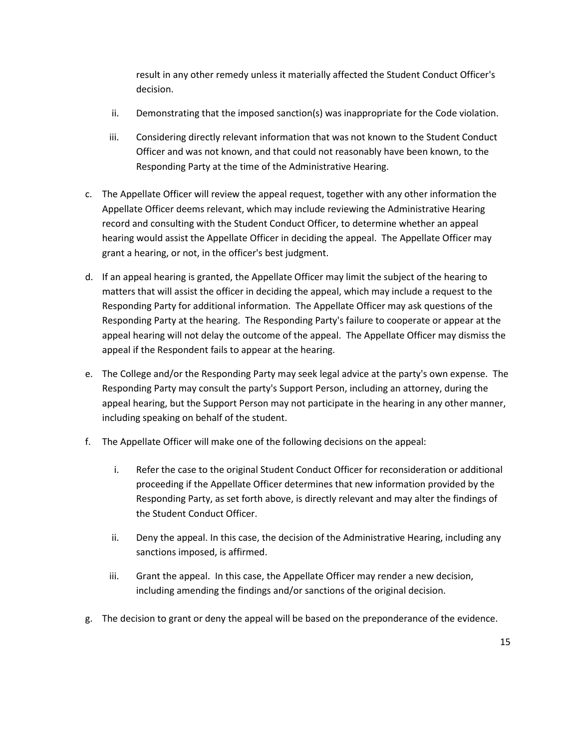result in any other remedy unless it materially affected the Student Conduct Officer's decision.

- ii. Demonstrating that the imposed sanction(s) was inappropriate for the Code violation.
- iii. Considering directly relevant information that was not known to the Student Conduct Officer and was not known, and that could not reasonably have been known, to the Responding Party at the time of the Administrative Hearing.
- c. The Appellate Officer will review the appeal request, together with any other information the Appellate Officer deems relevant, which may include reviewing the Administrative Hearing record and consulting with the Student Conduct Officer, to determine whether an appeal hearing would assist the Appellate Officer in deciding the appeal. The Appellate Officer may grant a hearing, or not, in the officer's best judgment.
- d. If an appeal hearing is granted, the Appellate Officer may limit the subject of the hearing to matters that will assist the officer in deciding the appeal, which may include a request to the Responding Party for additional information. The Appellate Officer may ask questions of the Responding Party at the hearing. The Responding Party's failure to cooperate or appear at the appeal hearing will not delay the outcome of the appeal. The Appellate Officer may dismiss the appeal if the Respondent fails to appear at the hearing.
- e. The College and/or the Responding Party may seek legal advice at the party's own expense. The Responding Party may consult the party's Support Person, including an attorney, during the appeal hearing, but the Support Person may not participate in the hearing in any other manner, including speaking on behalf of the student.
- f. The Appellate Officer will make one of the following decisions on the appeal:
	- i. Refer the case to the original Student Conduct Officer for reconsideration or additional proceeding if the Appellate Officer determines that new information provided by the Responding Party, as set forth above, is directly relevant and may alter the findings of the Student Conduct Officer.
	- ii. Deny the appeal. In this case, the decision of the Administrative Hearing, including any sanctions imposed, is affirmed.
	- iii. Grant the appeal. In this case, the Appellate Officer may render a new decision, including amending the findings and/or sanctions of the original decision.
- g. The decision to grant or deny the appeal will be based on the preponderance of the evidence.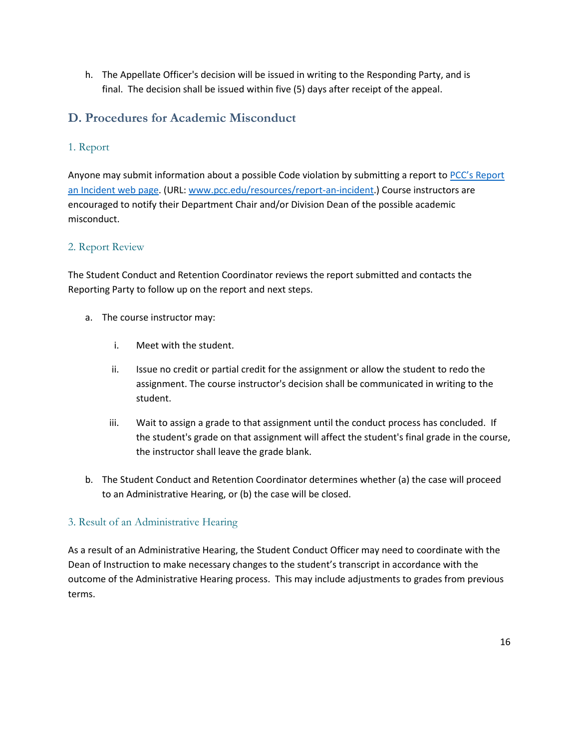h. The Appellate Officer's decision will be issued in writing to the Responding Party, and is final. The decision shall be issued within five (5) days after receipt of the appeal.

## **D. Procedures for Academic Misconduct**

#### 1. Report

Anyone may submit information about a possible Code violation by submitting a report to PCC's Report [an Incident web page.](http://www.pcc.edu/resources/report-an-incident) (URL[: www.pcc.edu/resources/report-an-incident.](http://www.pcc.edu/resources/report-an-incident)) Course instructors are encouraged to notify their Department Chair and/or Division Dean of the possible academic misconduct.

#### 2. Report Review

The Student Conduct and Retention Coordinator reviews the report submitted and contacts the Reporting Party to follow up on the report and next steps.

- a. The course instructor may:
	- i. Meet with the student.
	- ii. Issue no credit or partial credit for the assignment or allow the student to redo the assignment. The course instructor's decision shall be communicated in writing to the student.
	- iii. Wait to assign a grade to that assignment until the conduct process has concluded. If the student's grade on that assignment will affect the student's final grade in the course, the instructor shall leave the grade blank.
- b. The Student Conduct and Retention Coordinator determines whether (a) the case will proceed to an Administrative Hearing, or (b) the case will be closed.

#### 3. Result of an Administrative Hearing

As a result of an Administrative Hearing, the Student Conduct Officer may need to coordinate with the Dean of Instruction to make necessary changes to the student's transcript in accordance with the outcome of the Administrative Hearing process. This may include adjustments to grades from previous terms.